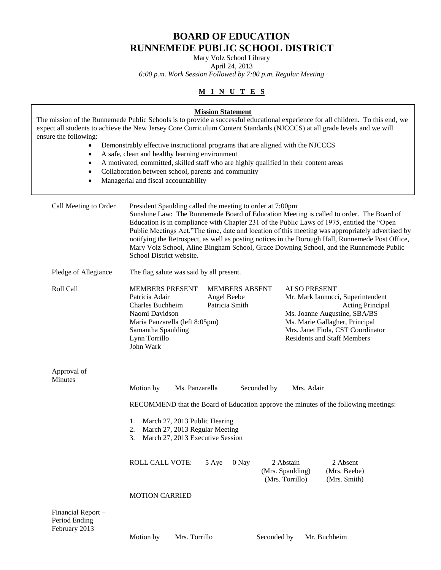# **BOARD OF EDUCATION RUNNEMEDE PUBLIC SCHOOL DISTRICT**

Mary Volz School Library

April 24, 2013

*6:00 p.m. Work Session Followed by 7:00 p.m. Regular Meeting*

## **M I N U T E S**

| ensure the following:                                         | <b>Mission Statement</b>                                                                                                                                                                                                                                                                                                                                                                                                                                                                                                                                                         | The mission of the Runnemede Public Schools is to provide a successful educational experience for all children. To this end, we<br>expect all students to achieve the New Jersey Core Curriculum Content Standards (NJCCCS) at all grade levels and we will |  |  |  |  |
|---------------------------------------------------------------|----------------------------------------------------------------------------------------------------------------------------------------------------------------------------------------------------------------------------------------------------------------------------------------------------------------------------------------------------------------------------------------------------------------------------------------------------------------------------------------------------------------------------------------------------------------------------------|-------------------------------------------------------------------------------------------------------------------------------------------------------------------------------------------------------------------------------------------------------------|--|--|--|--|
| $\bullet$<br>$\bullet$<br>$\bullet$<br>$\bullet$<br>$\bullet$ | Demonstrably effective instructional programs that are aligned with the NJCCCS<br>A safe, clean and healthy learning environment<br>A motivated, committed, skilled staff who are highly qualified in their content areas<br>Collaboration between school, parents and community<br>Managerial and fiscal accountability                                                                                                                                                                                                                                                         |                                                                                                                                                                                                                                                             |  |  |  |  |
| Call Meeting to Order                                         | President Spaulding called the meeting to order at 7:00pm<br>Sunshine Law: The Runnemede Board of Education Meeting is called to order. The Board of<br>Education is in compliance with Chapter 231 of the Public Laws of 1975, entitled the "Open<br>Public Meetings Act."The time, date and location of this meeting was appropriately advertised by<br>notifying the Retrospect, as well as posting notices in the Borough Hall, Runnemede Post Office,<br>Mary Volz School, Aline Bingham School, Grace Downing School, and the Runnemede Public<br>School District website. |                                                                                                                                                                                                                                                             |  |  |  |  |
| Pledge of Allegiance                                          | The flag salute was said by all present.                                                                                                                                                                                                                                                                                                                                                                                                                                                                                                                                         |                                                                                                                                                                                                                                                             |  |  |  |  |
| Roll Call                                                     | <b>MEMBERS PRESENT</b><br><b>MEMBERS ABSENT</b><br>Patricia Adair<br>Angel Beebe<br>Patricia Smith<br><b>Charles Buchheim</b><br>Naomi Davidson<br>Maria Panzarella (left 8:05pm)<br>Samantha Spaulding<br>Lynn Torrillo<br>John Wark                                                                                                                                                                                                                                                                                                                                            | <b>ALSO PRESENT</b><br>Mr. Mark Iannucci, Superintendent<br>Acting Principal<br>Ms. Joanne Augustine, SBA/BS<br>Ms. Marie Gallagher, Principal<br>Mrs. Janet Fiola, CST Coordinator<br><b>Residents and Staff Members</b>                                   |  |  |  |  |
| Approval of<br>Minutes                                        | Motion by<br>Ms. Panzarella                                                                                                                                                                                                                                                                                                                                                                                                                                                                                                                                                      | Seconded by<br>Mrs. Adair                                                                                                                                                                                                                                   |  |  |  |  |
|                                                               |                                                                                                                                                                                                                                                                                                                                                                                                                                                                                                                                                                                  | RECOMMEND that the Board of Education approve the minutes of the following meetings:                                                                                                                                                                        |  |  |  |  |
|                                                               | 1. March 27, 2013 Public Hearing<br>March 27, 2013 Regular Meeting<br>March 27, 2013 Executive Session                                                                                                                                                                                                                                                                                                                                                                                                                                                                           |                                                                                                                                                                                                                                                             |  |  |  |  |
|                                                               | ROLL CALL VOTE:<br>5 Aye                                                                                                                                                                                                                                                                                                                                                                                                                                                                                                                                                         | 2 Abstain<br>2 Absent<br>0 Nay<br>(Mrs. Spaulding)<br>(Mrs. Beebe)<br>(Mrs. Torrillo)<br>(Mrs. Smith)                                                                                                                                                       |  |  |  |  |
|                                                               | <b>MOTION CARRIED</b>                                                                                                                                                                                                                                                                                                                                                                                                                                                                                                                                                            |                                                                                                                                                                                                                                                             |  |  |  |  |
| Financial Report -                                            |                                                                                                                                                                                                                                                                                                                                                                                                                                                                                                                                                                                  |                                                                                                                                                                                                                                                             |  |  |  |  |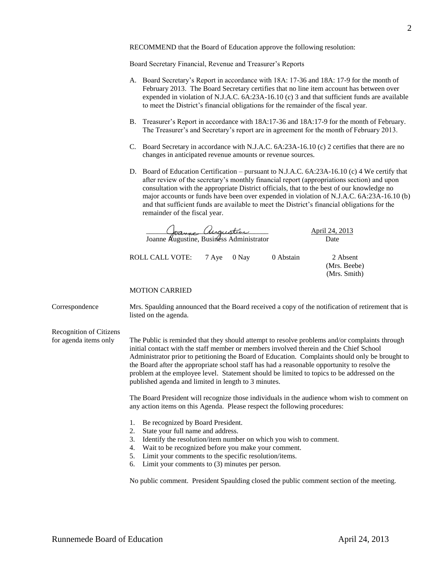RECOMMEND that the Board of Education approve the following resolution:

Board Secretary Financial, Revenue and Treasurer's Reports

- A. Board Secretary's Report in accordance with 18A: 17-36 and 18A: 17-9 for the month of February 2013. The Board Secretary certifies that no line item account has between over expended in violation of N.J.A.C. 6A:23A-16.10 (c) 3 and that sufficient funds are available to meet the District's financial obligations for the remainder of the fiscal year.
- B. Treasurer's Report in accordance with 18A:17-36 and 18A:17-9 for the month of February. The Treasurer's and Secretary's report are in agreement for the month of February 2013.
- C. Board Secretary in accordance with N.J.A.C. 6A:23A-16.10 (c) 2 certifies that there are no changes in anticipated revenue amounts or revenue sources.
- D. Board of Education Certification pursuant to N.J.A.C. 6A:23A-16.10 (c) 4 We certify that after review of the secretary's monthly financial report (appropriations section) and upon consultation with the appropriate District officials, that to the best of our knowledge no major accounts or funds have been over expended in violation of N.J.A.C. 6A:23A-16.10 (b) and that sufficient funds are available to meet the District's financial obligations for the remainder of the fiscal year.

 \_\_\_\_\_\_\_\_\_\_\_\_\_\_\_\_\_\_\_\_\_\_\_\_\_\_\_\_\_\_\_\_\_\_ April 24, 2013 Joanne Augustine, Business Administrator Date

## ROLL CALL VOTE: 7 Aye 0 Nay 0 Abstain 2 Absent

(Mrs. Beebe) (Mrs. Smith)

#### MOTION CARRIED

Correspondence Mrs. Spaulding announced that the Board received a copy of the notification of retirement that is listed on the agenda.

Recognition of Citizens

for agenda items only The Public is reminded that they should attempt to resolve problems and/or complaints through initial contact with the staff member or members involved therein and the Chief School Administrator prior to petitioning the Board of Education. Complaints should only be brought to the Board after the appropriate school staff has had a reasonable opportunity to resolve the problem at the employee level. Statement should be limited to topics to be addressed on the published agenda and limited in length to 3 minutes.

> The Board President will recognize those individuals in the audience whom wish to comment on any action items on this Agenda. Please respect the following procedures:

- 1. Be recognized by Board President.
- 2. State your full name and address.
- 3. Identify the resolution/item number on which you wish to comment.
- 4. Wait to be recognized before you make your comment.
- 5. Limit your comments to the specific resolution/items.
- 6. Limit your comments to (3) minutes per person.

No public comment. President Spaulding closed the public comment section of the meeting.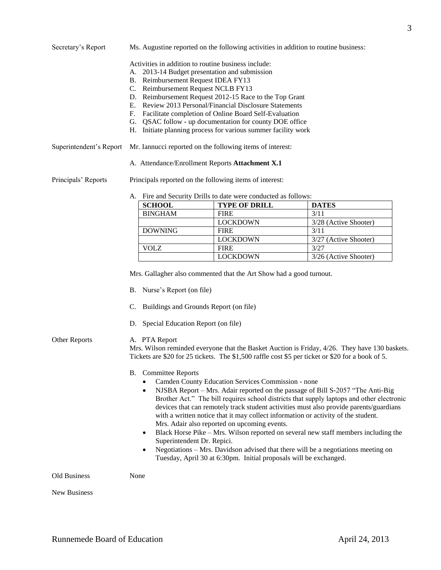## Secretary's Report Ms. Augustine reported on the following activities in addition to routine business:

- Activities in addition to routine business include:
- A. 2013-14 Budget presentation and submission
- B. Reimbursement Request IDEA FY13
- C. Reimbursement Request NCLB FY13
- D. Reimbursement Request 2012-15 Race to the Top Grant
- E. Review 2013 Personal/Financial Disclosure Statements
- F. Facilitate completion of Online Board Self-Evaluation
- G. QSAC follow up documentation for county DOE office
- H. Initiate planning process for various summer facility work
- Superintendent's Report Mr. Iannucci reported on the following items of interest:
	- A. Attendance/Enrollment Reports **Attachment X.1**

Principals' Reports Principals reported on the following items of interest:

#### A. Fire and Security Drills to date were conducted as follows:

| <b>SCHOOL</b>  | <b>TYPE OF DRILL</b> | <b>DATES</b>          |
|----------------|----------------------|-----------------------|
| <b>BINGHAM</b> | <b>FIRE</b>          | 3/11                  |
|                | <b>LOCKDOWN</b>      | 3/28 (Active Shooter) |
| <b>DOWNING</b> | <b>FIRE</b>          | 3/11                  |
|                | <b>LOCKDOWN</b>      | 3/27 (Active Shooter) |
| <b>VOLZ</b>    | <b>FIRE</b>          | 3/27                  |
|                | <b>LOCKDOWN</b>      | 3/26 (Active Shooter) |

Mrs. Gallagher also commented that the Art Show had a good turnout.

- B. Nurse's Report (on file)
- C. Buildings and Grounds Report (on file)
- D. Special Education Report (on file)

#### Other Reports A. PTA Report

Mrs. Wilson reminded everyone that the Basket Auction is Friday, 4/26. They have 130 baskets. Tickets are \$20 for 25 tickets. The \$1,500 raffle cost \$5 per ticket or \$20 for a book of 5.

- B. Committee Reports
	- Camden County Education Services Commission none
	- NJSBA Report Mrs. Adair reported on the passage of Bill S-2057 "The Anti-Big Brother Act." The bill requires school districts that supply laptops and other electronic devices that can remotely track student activities must also provide parents/guardians with a written notice that it may collect information or activity of the student. Mrs. Adair also reported on upcoming events.
	- Black Horse Pike Mrs. Wilson reported on several new staff members including the Superintendent Dr. Repici.
	- Negotiations Mrs. Davidson advised that there will be a negotiations meeting on Tuesday, April 30 at 6:30pm. Initial proposals will be exchanged.

Old Business None

New Business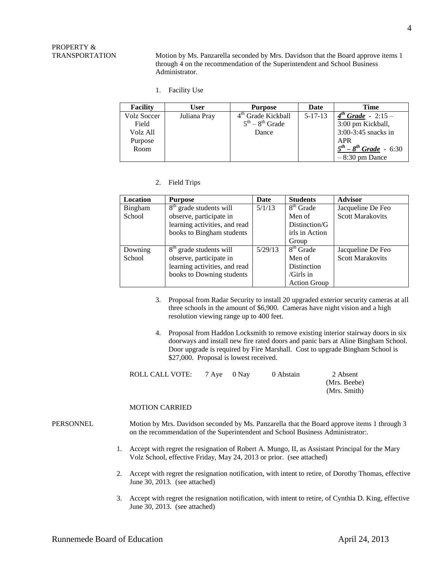# PROPERTY &

TRANSPORTATION Motion by Ms. Panzarella seconded by Mrs. Davidson that the Board approve items 1 through 4 on the recommendation of the Superintendent and School Business Administrator.

1. Facility Use

| <b>Facility</b> | User         | <b>Purpose</b>                 | Date          | <b>Time</b>                    |
|-----------------|--------------|--------------------------------|---------------|--------------------------------|
| Volz Soccer     | Juliana Pray | 4 <sup>th</sup> Grade Kickball | $5 - 17 - 13$ | $4^{th}$ Grade - 2:15 -        |
| Field           |              | $5^{th} - 8^{th}$ Grade        |               | 3:00 pm Kickball,              |
| Volz All        |              | Dance                          |               | 3:00-3:45 snacks in            |
| Purpose         |              |                                |               | APR                            |
| Room            |              |                                |               | $5^{th} - 8^{th}$ Grade - 6:30 |
|                 |              |                                |               | $-8:30$ pm Dance               |

#### 2. Field Trips

| <b>Location</b> | <b>Purpose</b>                      | Date    | <b>Students</b>       | <b>Advisor</b>          |
|-----------------|-------------------------------------|---------|-----------------------|-------------------------|
| Bingham         | $8th$ grade students will           | 5/1/13  | $8th$ Grade           | Jacqueline De Feo       |
| School          | observe, participate in             |         | Men of                | <b>Scott Marakovits</b> |
|                 | learning activities, and read       |         | Distinction/G         |                         |
|                 | books to Bingham students           |         | irls in Action        |                         |
|                 |                                     |         | Group                 |                         |
| Downing         | 8 <sup>th</sup> grade students will | 5/29/13 | 8 <sup>th</sup> Grade | Jacqueline De Feo       |
| School          | observe, participate in             |         | Men of                | <b>Scott Marakovits</b> |
|                 | learning activities, and read       |         | Distinction           |                         |
|                 | books to Downing students           |         | $/Girls$ in           |                         |
|                 |                                     |         | <b>Action Group</b>   |                         |

- 3. Proposal from Radar Security to install 20 upgraded exterior security cameras at all three schools in the amount of \$6,900. Cameras have night vision and a high resolution viewing range up to 400 feet.
- 4. Proposal from Haddon Locksmith to remove existing interior stairway doors in six doorways and install new fire rated doors and panic bars at Aline Bingham School. Door upgrade is required by Fire Marshall. Cost to upgrade Bingham School is \$27,000. Proposal is lowest received.

| ROLL CALL VOTE: | 7 Aye 0 Nay | 0 Abstain | 2 Absent     |
|-----------------|-------------|-----------|--------------|
|                 |             |           | (Mrs. Beebe) |
|                 |             |           | (Mrs. Smith) |

#### MOTION CARRIED

PERSONNEL Motion by Mrs. Davidson seconded by Ms. Panzarella that the Board approve items 1 through 3 on the recommendation of the Superintendent and School Business Administrator:.

- 1. Accept with regret the resignation of Robert A. Mungo, II, as Assistant Principal for the Mary Volz School, effective Friday, May 24, 2013 or prior. (see attached)
- 2. Accept with regret the resignation notification, with intent to retire, of Dorothy Thomas, effective June 30, 2013. (see attached)
- 3. Accept with regret the resignation notification, with intent to retire, of Cynthia D. King, effective June 30, 2013. (see attached)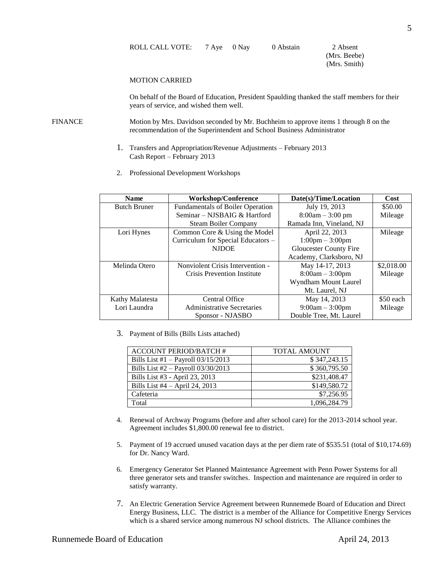(Mrs. Beebe) (Mrs. Smith)

#### MOTION CARRIED

On behalf of the Board of Education, President Spaulding thanked the staff members for their years of service, and wished them well.

FINANCE Motion by Mrs. Davidson seconded by Mr. Buchheim to approve items 1 through 8 on the recommendation of the Superintendent and School Business Administrator

- 1. Transfers and Appropriation/Revenue Adjustments February 2013 Cash Report – February 2013
- 2. Professional Development Workshops

| <b>Name</b>         | <b>Workshop/Conference</b>              | Date(s)/Time/Location             | Cost       |
|---------------------|-----------------------------------------|-----------------------------------|------------|
| <b>Butch Bruner</b> | <b>Fundamentals of Boiler Operation</b> | July 19, 2013                     | \$50.00    |
|                     | Seminar – NJSBAIG & Hartford            | $8:00am - 3:00 pm$                | Mileage    |
|                     | <b>Steam Boiler Company</b>             | Ramada Inn, Vineland, NJ          |            |
| Lori Hynes          | Common Core & Using the Model           | April 22, 2013                    | Mileage    |
|                     | Curriculum for Special Educators -      | $1:00 \text{pm} - 3:00 \text{pm}$ |            |
|                     | <b>NJDOE</b>                            | <b>Gloucester County Fire</b>     |            |
|                     |                                         | Academy, Clarksboro, NJ           |            |
| Melinda Otero       | Nonviolent Crisis Intervention -        | May 14-17, 2013                   | \$2,018.00 |
|                     | Crisis Prevention Institute             | $8:00am - 3:00pm$                 | Mileage    |
|                     |                                         | Wyndham Mount Laurel              |            |
|                     |                                         | Mt. Laurel, NJ                    |            |
| Kathy Malatesta     | Central Office                          | May 14, 2013                      | \$50 each  |
| Lori Laundra        | <b>Administrative Secretaries</b>       | $9:00am - 3:00pm$                 | Mileage    |
|                     | Sponsor - NJASBO                        | Double Tree, Mt. Laurel           |            |

3. Payment of Bills (Bills Lists attached)

| <b>ACCOUNT PERIOD/BATCH #</b>        | <b>TOTAL AMOUNT</b> |
|--------------------------------------|---------------------|
| Bills List #1 $-$ Payroll 03/15/2013 | \$347,243.15        |
| Bills List $#2$ – Payroll 03/30/2013 | \$360,795.50        |
| Bills List #3 - April 23, 2013       | \$231,408.47        |
| Bills List $#4 - April 24$ , 2013    | \$149,580.72        |
| Cafeteria                            | \$7,256.95          |
| Total                                | 1,096,284.79        |

- 4. Renewal of Archway Programs (before and after school care) for the 2013-2014 school year. Agreement includes \$1,800.00 renewal fee to district.
- 5. Payment of 19 accrued unused vacation days at the per diem rate of \$535.51 (total of \$10,174.69) for Dr. Nancy Ward.
- 6. Emergency Generator Set Planned Maintenance Agreement with Penn Power Systems for all three generator sets and transfer switches. Inspection and maintenance are required in order to satisfy warranty.
- 7. An Electric Generation Service Agreement between Runnemede Board of Education and Direct Energy Business, LLC. The district is a member of the Alliance for Competitive Energy Services which is a shared service among numerous NJ school districts. The Alliance combines the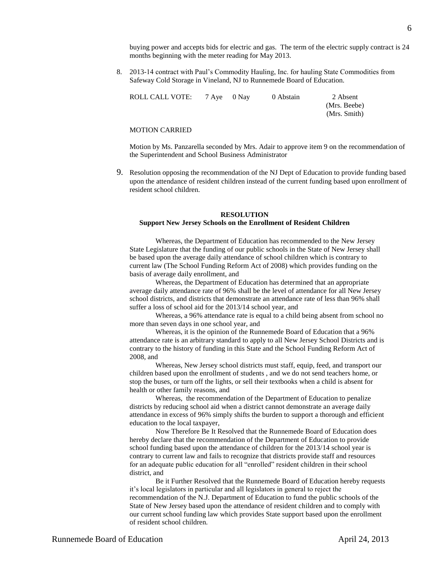buying power and accepts bids for electric and gas. The term of the electric supply contract is 24 months beginning with the meter reading for May 2013.

8. 2013-14 contract with Paul's Commodity Hauling, Inc. for hauling State Commodities from Safeway Cold Storage in Vineland, NJ to Runnemede Board of Education.

| ROLL CALL VOTE: | 7 Ave 0 Nav | 0 Abstain | 2 Absent     |
|-----------------|-------------|-----------|--------------|
|                 |             |           | (Mrs. Beebe) |
|                 |             |           | (Mrs. Smith) |

#### MOTION CARRIED

Motion by Ms. Panzarella seconded by Mrs. Adair to approve item 9 on the recommendation of the Superintendent and School Business Administrator

9. Resolution opposing the recommendation of the NJ Dept of Education to provide funding based upon the attendance of resident children instead of the current funding based upon enrollment of resident school children.

#### **RESOLUTION Support New Jersey Schools on the Enrollment of Resident Children**

Whereas, the Department of Education has recommended to the New Jersey State Legislature that the funding of our public schools in the State of New Jersey shall be based upon the average daily attendance of school children which is contrary to current law (The School Funding Reform Act of 2008) which provides funding on the basis of average daily enrollment, and

Whereas, the Department of Education has determined that an appropriate average daily attendance rate of 96% shall be the level of attendance for all New Jersey school districts, and districts that demonstrate an attendance rate of less than 96% shall suffer a loss of school aid for the 2013/14 school year, and

Whereas, a 96% attendance rate is equal to a child being absent from school no more than seven days in one school year, and

Whereas, it is the opinion of the Runnemede Board of Education that a 96% attendance rate is an arbitrary standard to apply to all New Jersey School Districts and is contrary to the history of funding in this State and the School Funding Reform Act of 2008, and

Whereas, New Jersey school districts must staff, equip, feed, and transport our children based upon the enrollment of students , and we do not send teachers home, or stop the buses, or turn off the lights, or sell their textbooks when a child is absent for health or other family reasons, and

Whereas, the recommendation of the Department of Education to penalize districts by reducing school aid when a district cannot demonstrate an average daily attendance in excess of 96% simply shifts the burden to support a thorough and efficient education to the local taxpayer,

Now Therefore Be It Resolved that the Runnemede Board of Education does hereby declare that the recommendation of the Department of Education to provide school funding based upon the attendance of children for the 2013/14 school year is contrary to current law and fails to recognize that districts provide staff and resources for an adequate public education for all "enrolled" resident children in their school district, and

Be it Further Resolved that the Runnemede Board of Education hereby requests it's local legislators in particular and all legislators in general to reject the recommendation of the N.J. Department of Education to fund the public schools of the State of New Jersey based upon the attendance of resident children and to comply with our current school funding law which provides State support based upon the enrollment of resident school children.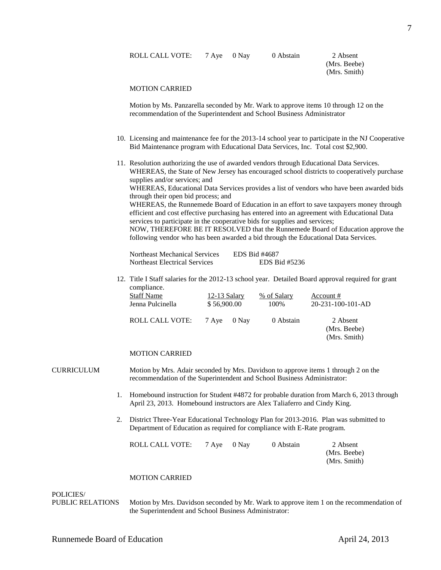| ROLL CALL VOTE: |  | 7 Aye 0 Nay | 0 Abstain | 2 Absent |
|-----------------|--|-------------|-----------|----------|
|-----------------|--|-------------|-----------|----------|

(Mrs. Beebe) (Mrs. Smith)

#### MOTION CARRIED

Motion by Ms. Panzarella seconded by Mr. Wark to approve items 10 through 12 on the recommendation of the Superintendent and School Business Administrator

- 10. Licensing and maintenance fee for the 2013-14 school year to participate in the NJ Cooperative Bid Maintenance program with Educational Data Services, Inc. Total cost \$2,900.
- 11. Resolution authorizing the use of awarded vendors through Educational Data Services. WHEREAS, the State of New Jersey has encouraged school districts to cooperatively purchase supplies and/or services; and WHEREAS, Educational Data Services provides a list of vendors who have been awarded bids through their open bid process; and WHEREAS, the Runnemede Board of Education in an effort to save taxpayers money through efficient and cost effective purchasing has entered into an agreement with Educational Data services to participate in the cooperative bids for supplies and services; NOW, THEREFORE BE IT RESOLVED that the Runnemede Board of Education approve the

following vendor who has been awarded a bid through the Educational Data Services.

| Northeast Mechanical Services | EDS Bid #4687 |
|-------------------------------|---------------|
| Northeast Electrical Services | EDS Bid #5236 |

12. Title I Staff salaries for the 2012-13 school year. Detailed Board approval required for grant compliance.

| Staff Name       | 12-13 Salary |       | % of Salary | Account #                                |  |
|------------------|--------------|-------|-------------|------------------------------------------|--|
| Jenna Pulcinella | \$56,900.00  |       | 100\%       | $20 - 231 - 100 - 101 - AD$              |  |
| ROLL CALL VOTE:  | 7 Ave        | 0 Nav | 0 Abstain   | 2 Absent<br>(Mrs. Beebe)<br>(Mrs. Smith) |  |

#### MOTION CARRIED

CURRICULUM Motion by Mrs. Adair seconded by Mrs. Davidson to approve items 1 through 2 on the recommendation of the Superintendent and School Business Administrator:

- 1. Homebound instruction for Student #4872 for probable duration from March 6, 2013 through April 23, 2013. Homebound instructors are Alex Taliaferro and Cindy King.
- 2. District Three-Year Educational Technology Plan for 2013-2016. Plan was submitted to Department of Education as required for compliance with E-Rate program.

| ROLL CALL VOTE: | 7 Aye 0 Nay | 0 Abstain | 2 Absent     |
|-----------------|-------------|-----------|--------------|
|                 |             |           | (Mrs. Beebe) |
|                 |             |           | (Mrs. Smith) |

#### MOTION CARRIED

### POLICIES/

PUBLIC RELATIONS Motion by Mrs. Davidson seconded by Mr. Wark to approve item 1 on the recommendation of the Superintendent and School Business Administrator: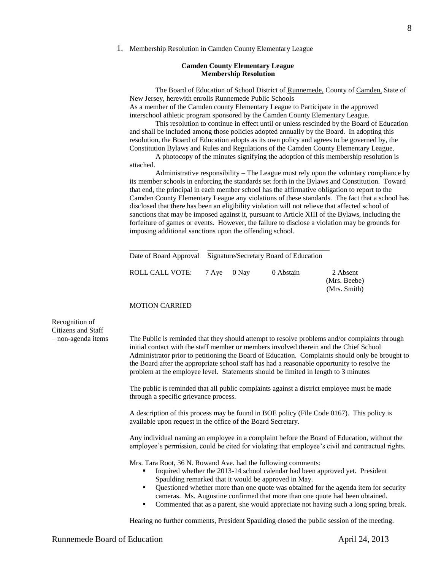1. Membership Resolution in Camden County Elementary League

#### **Camden County Elementary League Membership Resolution**

The Board of Education of School District of Runnemede, County of Camden, State of New Jersey, herewith enrolls Runnemede Public Schools As a member of the Camden county Elementary League to Participate in the approved

interschool athletic program sponsored by the Camden County Elementary League. This resolution to continue in effect until or unless rescinded by the Board of Education

and shall be included among those policies adopted annually by the Board. In adopting this resolution, the Board of Education adopts as its own policy and agrees to be governed by, the Constitution Bylaws and Rules and Regulations of the Camden County Elementary League.

A photocopy of the minutes signifying the adoption of this membership resolution is attached.

Administrative responsibility – The League must rely upon the voluntary compliance by its member schools in enforcing the standards set forth in the Bylaws and Constitution. Toward that end, the principal in each member school has the affirmative obligation to report to the Camden County Elementary League any violations of these standards. The fact that a school has disclosed that there has been an eligibility violation will not relieve that affected school of sanctions that may be imposed against it, pursuant to Article XIII of the Bylaws, including the forfeiture of games or events. However, the failure to disclose a violation may be grounds for imposing additional sanctions upon the offending school.

|                             | Date of Board Approval Signature/Secretary Board of Education |  |           |                                          |
|-----------------------------|---------------------------------------------------------------|--|-----------|------------------------------------------|
| ROLL CALL VOTE: 7 Aye 0 Nay |                                                               |  | 0 Abstain | 2 Absent<br>(Mrs. Beebe)<br>(Mrs. Smith) |

#### MOTION CARRIED

Recognition of Citizens and Staff

– non-agenda items The Public is reminded that they should attempt to resolve problems and/or complaints through initial contact with the staff member or members involved therein and the Chief School Administrator prior to petitioning the Board of Education. Complaints should only be brought to the Board after the appropriate school staff has had a reasonable opportunity to resolve the problem at the employee level. Statements should be limited in length to 3 minutes

> The public is reminded that all public complaints against a district employee must be made through a specific grievance process.

> A description of this process may be found in BOE policy (File Code 0167). This policy is available upon request in the office of the Board Secretary.

Any individual naming an employee in a complaint before the Board of Education, without the employee's permission, could be cited for violating that employee's civil and contractual rights.

Mrs. Tara Root, 36 N. Rowand Ave. had the following comments:

- Inquired whether the 2013-14 school calendar had been approved yet. President Spaulding remarked that it would be approved in May.
- Questioned whether more than one quote was obtained for the agenda item for security cameras. Ms. Augustine confirmed that more than one quote had been obtained.
- Commented that as a parent, she would appreciate not having such a long spring break.

Hearing no further comments, President Spaulding closed the public session of the meeting.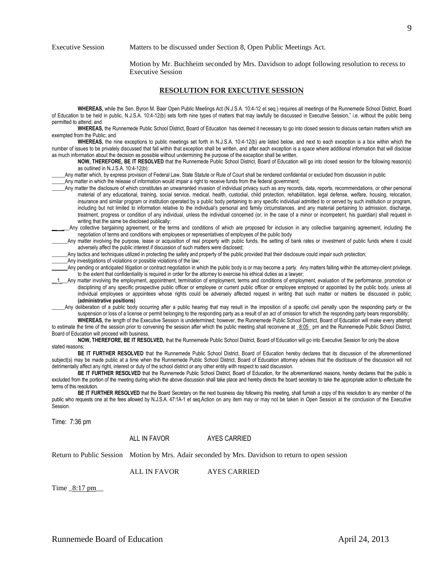Executive Session Matters to be discussed under Section 8, Open Public Meetings Act.

Motion by Mr. Buchheim seconded by Mrs. Davidson to adopt following resolution to recess to Executive Session

#### **RESOLUTION FOR EXECUTIVE SESSION**

**WHEREAS,** while the Sen. Byron M. Baer Open Public Meetings Act (N.J.S.A. 10:4-12 et seq.) requires all meetings of the Runnemede School District, Board of Education to be held in public, N.J.S.A. 10:4-12(b) sets forth nine types of matters that may lawfully be discussed in Executive Session," i.e. without the public being permitted to attend; and

WHEREAS, the Runnemede Public School District, Board of Education has deemed it necessary to go into closed session to discuss certain matters which are exempted from the Public; and

**WHEREAS,** the nine exceptions to public meetings set forth in N.J.S.A. 10:4-12(b) are listed below, and next to each exception is a box within which the number of issues to be privately discussed that fall within that exception shall be written, and after each exception is a space where additional information that will disclose as much information about the decision as possible without undermining the purpose of the exception shall be written.

**NOW, THEREFORE, BE IT RESOLVED** that the Runnemede Public School District, Board of Education will go into closed session for the following reason(s) as outlined in N.J.S.A. 10:4-12(b):

Any matter which, by express provision of Federal Law, State Statute or Rule of Court shall be rendered confidential or excluded from discussion in public

\_\_\_\_\_Any matter in which the release of information would impair a right to receive funds from the federal government;

- Any matter the disclosure of which constitutes an unwarranted invasion of individual privacy such as any records, data, reports, recommendations, or other personal material of any educational, training, social service, medical, health, custodial, child protection, rehabilitation, legal defense, welfare, housing, relocation, insurance and similar program or institution operated by a public body pertaining to any specific individual admitted to or served by such institution or program, including but not limited to information relative to the individual's personal and family circumstances, and any material pertaining to admission, discharge, treatment, progress or condition of any individual, unless the individual concerned (or, in the case of a minor or incompetent, his guardian) shall request in writing that the same be disclosed publically;
- Any collective bargaining agreement, or the terms and conditions of which are proposed for inclusion in any collective bargaining agreement, including the negotiation of terms and conditions with employees or representatives of employees of the public body
- Any matter involving the purpose, lease or acquisition of real property with public funds, the setting of bank rates or investment of public funds where it could adversely affect the public interest if discussion of such matters were disclosed;
- Any tactics and techniques utilized in protecting the safety and property of the public provided that their disclosure could impair such protection;
- Any investigations of violations or possible violations of the law;
- \_\_\_\_\_\_Any pending or anticipated litigation or contract negotiation in which the public body is or may become a party. Any matters falling within the attorney-client privilege, to the extent that confidentiality is required in order for the attorney to exercise his ethical duties as a lawyer;

1\_ Any matter involving the employment, appointment, termination of employment, terms and conditions of employment, evaluation of the performance, promotion or disciplining of any specific prospective public officer or employee or current public officer or employee employed or appointed by the public body, unless all individual employees or appointees whose rights could be adversely affected request in writing that such matter or matters be discussed in public; **(administrative positions)**

Any deliberation of a public body occurring after a public hearing that may result in the imposition of a specific civil penalty upon the responding party or the suspension or loss of a license or permit belonging to the responding party as a result of an act of omission for which the responding party bears responsibility; **WHEREAS,** the length of the Executive Session is undetermined; however, the Runnemede Public School District, Board of Education will make every attempt

to estimate the time of the session prior to convening the session after which the public meeting shall reconvene at  $8:05$  pm and the Runnemede Public School District, Board of Education will proceed with business.

**NOW, THEREFORE, BE IT RESOLVED,** that the Runnemede Public School District, Board of Education will go into Executive Session for only the above stated reasons;

**BE IT FURTHER RESOLVED** that the Runnemede Public School District, Board of Education hereby declares that its discussion of the aforementioned subject(s) may be made public at a time when the Runnemede Public School District, Board of Education attorney advises that the disclosure of the discussion will not detrimentally affect any right, interest or duty of the school district or any other entity with respect to said discussion.

**BE IT FURTHER RESOLVED** that the Runnemede Public School District, Board of Education, for the aforementioned reasons, hereby declares that the public is excluded from the portion of the meeting during which the above discussion shall take place and hereby directs the board secretary to take the appropriate action to effectuate the terms of this resolution.

**BE IT FURTHER RESOLVED** that the Board Secretary on the next business day following this meeting, shall furnish a copy of this resolution to any member of the public who requests one at the fees allowed by N.J.S.A. 47:1A-1 et seq.Action on any item may or may not be taken in Open Session at the conclusion of the Executive Session.

Time: 7:36 pm

ALL IN FAVOR AYES CARRIED

Return to Public Session Motion by Mrs. Adair seconded by Mrs. Davidson to return to open session

ALL IN FAVOR AYES CARRIED

Time  $8:17$  pm